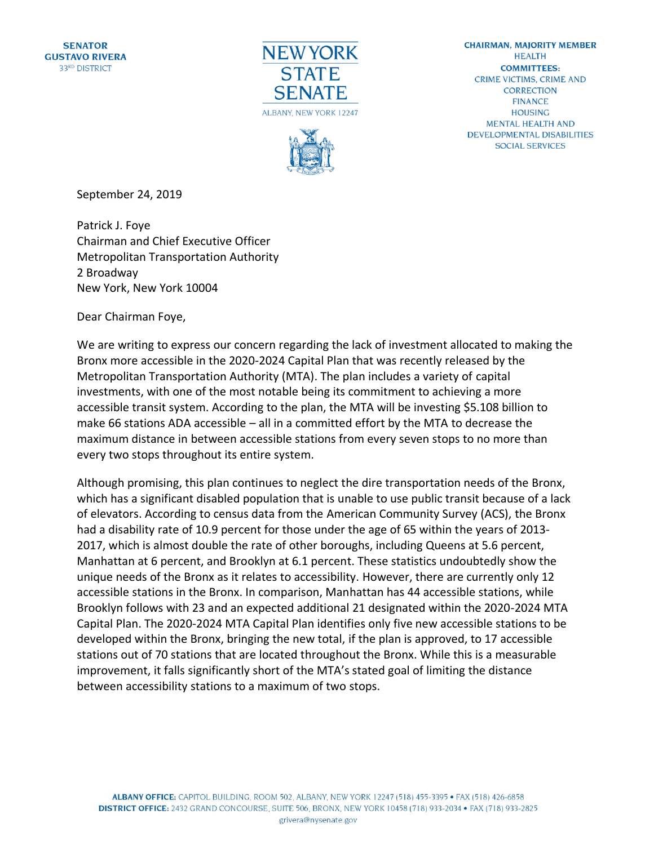



**CHAIRMAN, MAJORITY MEMBER HEALTH COMMITTEES: CRIME VICTIMS, CRIME AND CORRECTION FINANCE HOUSING MENTAL HEALTH AND DEVELOPMENTAL DISABILITIES SOCIAL SERVICES** 

September 24, 2019

Patrick J. Foye Chairman and Chief Executive Officer Metropolitan Transportation Authority 2 Broadway New York, New York 10004

Dear Chairman Foye,

We are writing to express our concern regarding the lack of investment allocated to making the Bronx more accessible in the 2020-2024 Capital Plan that was recently released by the Metropolitan Transportation Authority (MTA). The plan includes a variety of capital investments, with one of the most notable being its commitment to achieving a more accessible transit system. According to the plan, the MTA will be investing \$5.108 billion to make 66 stations ADA accessible – all in a committed effort by the MTA to decrease the maximum distance in between accessible stations from every seven stops to no more than every two stops throughout its entire system.

Although promising, this plan continues to neglect the dire transportation needs of the Bronx, which has a significant disabled population that is unable to use public transit because of a lack of elevators. According to census data from the American Community Survey (ACS), the Bronx had a disability rate of 10.9 percent for those under the age of 65 within the years of 2013- 2017, which is almost double the rate of other boroughs, including Queens at 5.6 percent, Manhattan at 6 percent, and Brooklyn at 6.1 percent. These statistics undoubtedly show the unique needs of the Bronx as it relates to accessibility. However, there are currently only 12 accessible stations in the Bronx. In comparison, Manhattan has 44 accessible stations, while Brooklyn follows with 23 and an expected additional 21 designated within the 2020-2024 MTA Capital Plan. The 2020-2024 MTA Capital Plan identifies only five new accessible stations to be developed within the Bronx, bringing the new total, if the plan is approved, to 17 accessible stations out of 70 stations that are located throughout the Bronx. While this is a measurable improvement, it falls significantly short of the MTA's stated goal of limiting the distance between accessibility stations to a maximum of two stops.